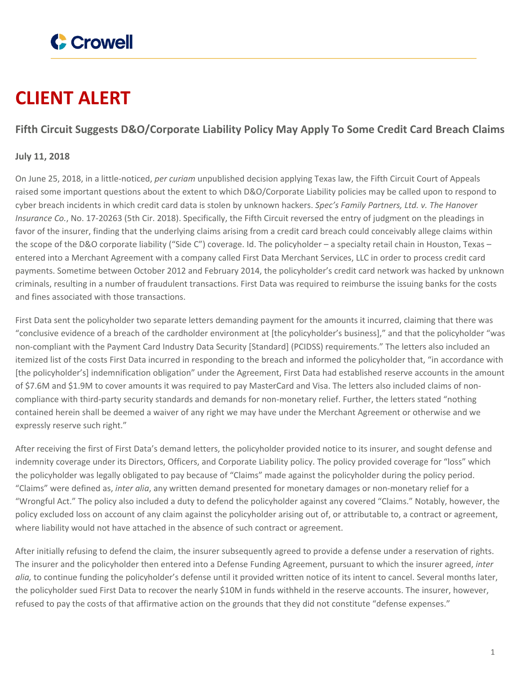

## **CLIENT ALERT**

## **Fifth Circuit Suggests D&O/Corporate Liability Policy May Apply To Some Credit Card Breach Claims**

## **July 11, 2018**

On June 25, 2018, in a little-noticed, *per curiam* unpublished decision applying Texas law, the Fifth Circuit Court of Appeals raised some important questions about the extent to which D&O/Corporate Liability policies may be called upon to respond to cyber breach incidents in which credit card data is stolen by unknown hackers. *Spec's Family Partners, Ltd. v. The Hanover Insurance Co.*, No. 17-20263 (5th Cir. 2018). Specifically, the Fifth Circuit reversed the entry of judgment on the pleadings in favor of the insurer, finding that the underlying claims arising from a credit card breach could conceivably allege claims within the scope of the D&O corporate liability ("Side C") coverage. Id. The policyholder – a specialty retail chain in Houston, Texas – entered into a Merchant Agreement with a company called First Data Merchant Services, LLC in order to process credit card payments. Sometime between October 2012 and February 2014, the policyholder's credit card network was hacked by unknown criminals, resulting in a number of fraudulent transactions. First Data was required to reimburse the issuing banks for the costs and fines associated with those transactions.

First Data sent the policyholder two separate letters demanding payment for the amounts it incurred, claiming that there was "conclusive evidence of a breach of the cardholder environment at [the policyholder's business]," and that the policyholder "was non-compliant with the Payment Card Industry Data Security [Standard] (PCIDSS) requirements." The letters also included an itemized list of the costs First Data incurred in responding to the breach and informed the policyholder that, "in accordance with [the policyholder's] indemnification obligation" under the Agreement, First Data had established reserve accounts in the amount of \$7.6M and \$1.9M to cover amounts it was required to pay MasterCard and Visa. The letters also included claims of noncompliance with third-party security standards and demands for non-monetary relief. Further, the letters stated "nothing contained herein shall be deemed a waiver of any right we may have under the Merchant Agreement or otherwise and we expressly reserve such right."

After receiving the first of First Data's demand letters, the policyholder provided notice to its insurer, and sought defense and indemnity coverage under its Directors, Officers, and Corporate Liability policy. The policy provided coverage for "loss" which the policyholder was legally obligated to pay because of "Claims" made against the policyholder during the policy period. "Claims" were defined as, *inter alia*, any written demand presented for monetary damages or non-monetary relief for a "Wrongful Act." The policy also included a duty to defend the policyholder against any covered "Claims." Notably, however, the policy excluded loss on account of any claim against the policyholder arising out of, or attributable to, a contract or agreement, where liability would not have attached in the absence of such contract or agreement.

After initially refusing to defend the claim, the insurer subsequently agreed to provide a defense under a reservation of rights. The insurer and the policyholder then entered into a Defense Funding Agreement, pursuant to which the insurer agreed, *inter alia,* to continue funding the policyholder's defense until it provided written notice of its intent to cancel. Several months later, the policyholder sued First Data to recover the nearly \$10M in funds withheld in the reserve accounts. The insurer, however, refused to pay the costs of that affirmative action on the grounds that they did not constitute "defense expenses."